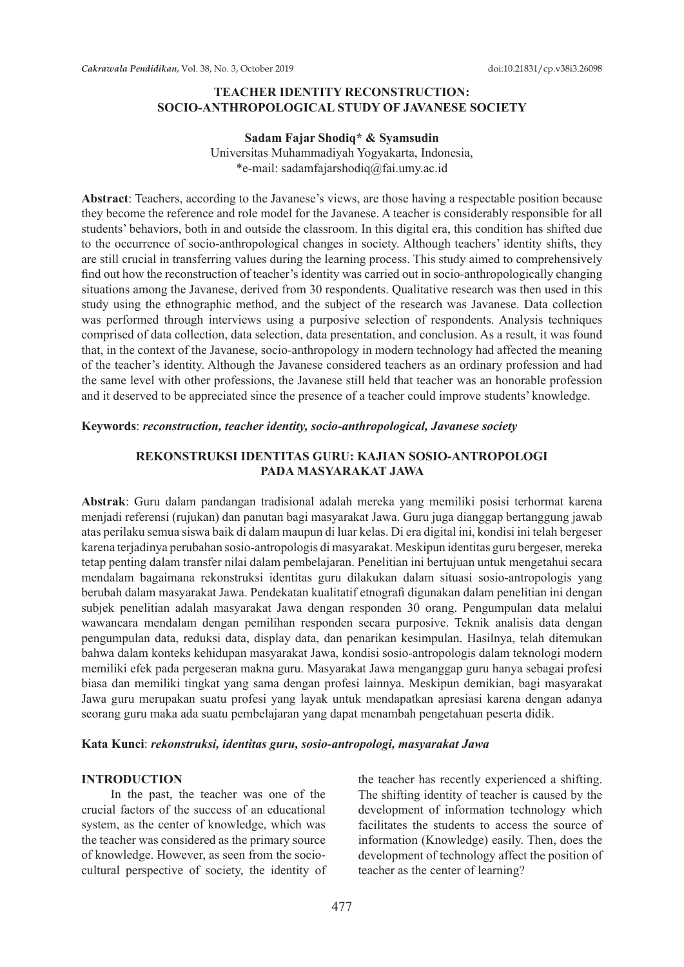## **TEACHER IDENTITY RECONSTRUCTION: SOCIO-ANTHROPOLOGICAL STUDY OF JAVANESE SOCIETY**

## **Sadam Fajar Shodiq\* & Syamsudin** Universitas Muhammadiyah Yogyakarta, Indonesia, \*e-mail: sadamfajarshodiq@fai.umy.ac.id

**Abstract**: Teachers, according to the Javanese's views, are those having a respectable position because they become the reference and role model for the Javanese. A teacher is considerably responsible for all students' behaviors, both in and outside the classroom. In this digital era, this condition has shifted due to the occurrence of socio-anthropological changes in society. Although teachers' identity shifts, they are still crucial in transferring values during the learning process. This study aimed to comprehensively find out how the reconstruction of teacher's identity was carried out in socio-anthropologically changing situations among the Javanese, derived from 30 respondents. Qualitative research was then used in this study using the ethnographic method, and the subject of the research was Javanese. Data collection was performed through interviews using a purposive selection of respondents. Analysis techniques comprised of data collection, data selection, data presentation, and conclusion. As a result, it was found that, in the context of the Javanese, socio-anthropology in modern technology had affected the meaning of the teacher's identity. Although the Javanese considered teachers as an ordinary profession and had the same level with other professions, the Javanese still held that teacher was an honorable profession and it deserved to be appreciated since the presence of a teacher could improve students' knowledge.

#### **Keywords**: *reconstruction, teacher identity, socio-anthropological, Javanese society*

### **REKONSTRUKSI IDENTITAS GURU: KAJIAN SOSIO-ANTROPOLOGI PADA MASYARAKAT JAWA**

**Abstrak**: Guru dalam pandangan tradisional adalah mereka yang memiliki posisi terhormat karena menjadi referensi (rujukan) dan panutan bagi masyarakat Jawa. Guru juga dianggap bertanggung jawab atas perilaku semua siswa baik di dalam maupun di luar kelas. Di era digital ini, kondisi ini telah bergeser karena terjadinya perubahan sosio-antropologis di masyarakat. Meskipun identitas guru bergeser, mereka tetap penting dalam transfer nilai dalam pembelajaran. Penelitian ini bertujuan untuk mengetahui secara mendalam bagaimana rekonstruksi identitas guru dilakukan dalam situasi sosio-antropologis yang berubah dalam masyarakat Jawa. Pendekatan kualitatif etnografi digunakan dalam penelitian ini dengan subjek penelitian adalah masyarakat Jawa dengan responden 30 orang. Pengumpulan data melalui wawancara mendalam dengan pemilihan responden secara purposive. Teknik analisis data dengan pengumpulan data, reduksi data, display data, dan penarikan kesimpulan. Hasilnya, telah ditemukan bahwa dalam konteks kehidupan masyarakat Jawa, kondisi sosio-antropologis dalam teknologi modern memiliki efek pada pergeseran makna guru. Masyarakat Jawa menganggap guru hanya sebagai profesi biasa dan memiliki tingkat yang sama dengan profesi lainnya. Meskipun demikian, bagi masyarakat Jawa guru merupakan suatu profesi yang layak untuk mendapatkan apresiasi karena dengan adanya seorang guru maka ada suatu pembelajaran yang dapat menambah pengetahuan peserta didik.

#### **Kata Kunci**: *rekonstruksi, identitas guru, sosio-antropologi, masyarakat Jawa*

#### **INTRODUCTION**

In the past, the teacher was one of the crucial factors of the success of an educational system, as the center of knowledge, which was the teacher was considered as the primary source of knowledge. However, as seen from the sociocultural perspective of society, the identity of the teacher has recently experienced a shifting. The shifting identity of teacher is caused by the development of information technology which facilitates the students to access the source of information (Knowledge) easily. Then, does the development of technology affect the position of teacher as the center of learning?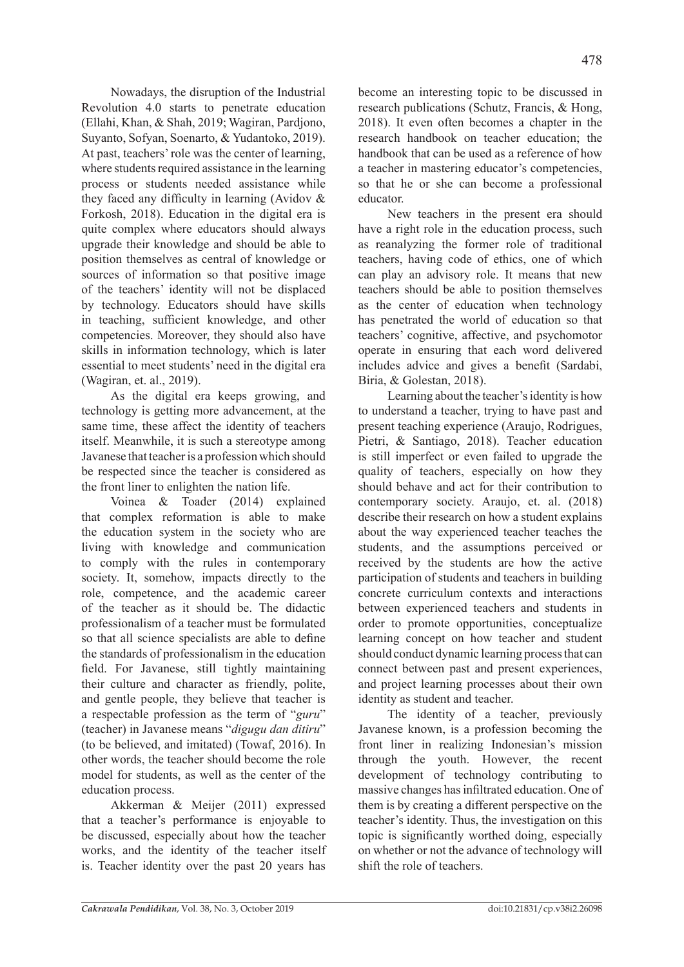Nowadays, the disruption of the Industrial Revolution 4.0 starts to penetrate education (Ellahi, Khan, & Shah, 2019; Wagiran, Pardjono, Suyanto, Sofyan, Soenarto, & Yudantoko, 2019). At past, teachers' role was the center of learning, where students required assistance in the learning process or students needed assistance while they faced any difficulty in learning (Avidov & Forkosh, 2018). Education in the digital era is quite complex where educators should always upgrade their knowledge and should be able to position themselves as central of knowledge or sources of information so that positive image of the teachers' identity will not be displaced by technology. Educators should have skills in teaching, sufficient knowledge, and other competencies. Moreover, they should also have skills in information technology, which is later essential to meet students' need in the digital era (Wagiran, et. al., 2019).

As the digital era keeps growing, and technology is getting more advancement, at the same time, these affect the identity of teachers itself. Meanwhile, it is such a stereotype among Javanese that teacher is a profession which should be respected since the teacher is considered as the front liner to enlighten the nation life.

Voinea & Toader (2014) explained that complex reformation is able to make the education system in the society who are living with knowledge and communication to comply with the rules in contemporary society. It, somehow, impacts directly to the role, competence, and the academic career of the teacher as it should be. The didactic professionalism of a teacher must be formulated so that all science specialists are able to define the standards of professionalism in the education field. For Javanese, still tightly maintaining their culture and character as friendly, polite, and gentle people, they believe that teacher is a respectable profession as the term of "*guru*" (teacher) in Javanese means "*digugu dan ditiru*" (to be believed, and imitated) (Towaf, 2016). In other words, the teacher should become the role model for students, as well as the center of the education process.

Akkerman & Meijer (2011) expressed that a teacher's performance is enjoyable to be discussed, especially about how the teacher works, and the identity of the teacher itself is. Teacher identity over the past 20 years has become an interesting topic to be discussed in research publications (Schutz, Francis, & Hong, 2018). It even often becomes a chapter in the research handbook on teacher education; the handbook that can be used as a reference of how a teacher in mastering educator's competencies, so that he or she can become a professional educator.

New teachers in the present era should have a right role in the education process, such as reanalyzing the former role of traditional teachers, having code of ethics, one of which can play an advisory role. It means that new teachers should be able to position themselves as the center of education when technology has penetrated the world of education so that teachers' cognitive, affective, and psychomotor operate in ensuring that each word delivered includes advice and gives a benefit (Sardabi, Biria, & Golestan, 2018).

Learning about the teacher's identity is how to understand a teacher, trying to have past and present teaching experience (Araujo, Rodrigues, Pietri, & Santiago, 2018). Teacher education is still imperfect or even failed to upgrade the quality of teachers, especially on how they should behave and act for their contribution to contemporary society. Araujo, et. al. (2018) describe their research on how a student explains about the way experienced teacher teaches the students, and the assumptions perceived or received by the students are how the active participation of students and teachers in building concrete curriculum contexts and interactions between experienced teachers and students in order to promote opportunities, conceptualize learning concept on how teacher and student should conduct dynamic learning process that can connect between past and present experiences, and project learning processes about their own identity as student and teacher.

The identity of a teacher, previously Javanese known, is a profession becoming the front liner in realizing Indonesian's mission through the youth. However, the recent development of technology contributing to massive changes has infiltrated education. One of them is by creating a different perspective on the teacher's identity. Thus, the investigation on this topic is significantly worthed doing, especially on whether or not the advance of technology will shift the role of teachers.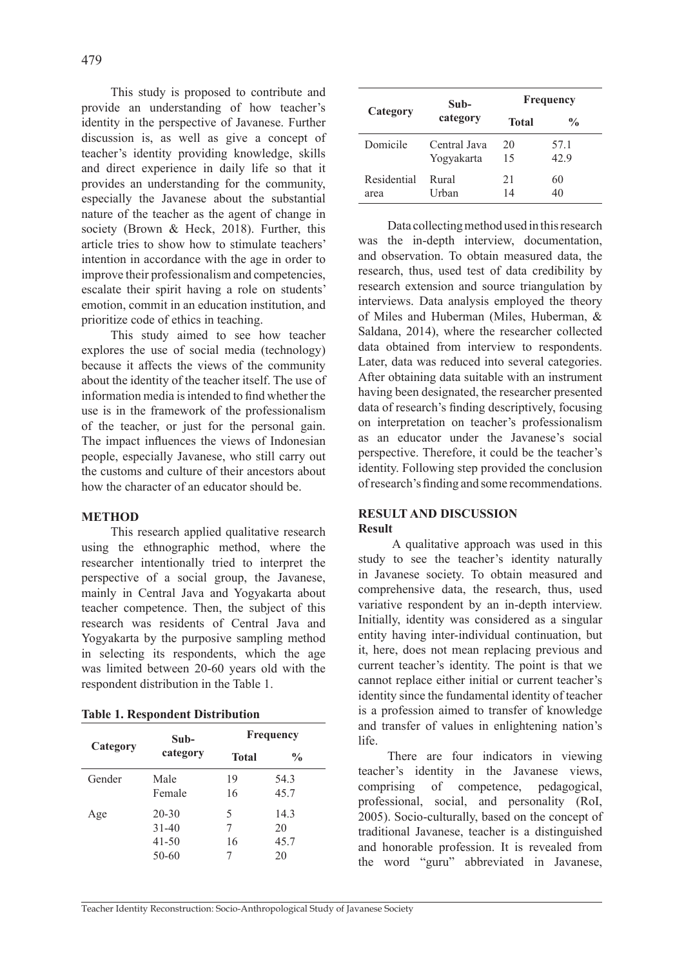This study is proposed to contribute and provide an understanding of how teacher's identity in the perspective of Javanese. Further discussion is, as well as give a concept of teacher's identity providing knowledge, skills and direct experience in daily life so that it provides an understanding for the community, especially the Javanese about the substantial nature of the teacher as the agent of change in society (Brown & Heck, 2018). Further, this article tries to show how to stimulate teachers' intention in accordance with the age in order to improve their professionalism and competencies, escalate their spirit having a role on students' emotion, commit in an education institution, and prioritize code of ethics in teaching.

This study aimed to see how teacher explores the use of social media (technology) because it affects the views of the community about the identity of the teacher itself. The use of information media is intended to find whether the use is in the framework of the professionalism of the teacher, or just for the personal gain. The impact influences the views of Indonesian people, especially Javanese, who still carry out the customs and culture of their ancestors about how the character of an educator should be.

### **METHOD**

This research applied qualitative research using the ethnographic method, where the researcher intentionally tried to interpret the perspective of a social group, the Javanese, mainly in Central Java and Yogyakarta about teacher competence. Then, the subject of this research was residents of Central Java and Yogyakarta by the purposive sampling method in selecting its respondents, which the age was limited between 20-60 years old with the respondent distribution in the Table 1.

**Table 1. Respondent Distribution**

| Category | Sub-<br>category | Frequency |               |
|----------|------------------|-----------|---------------|
|          |                  | Total     | $\frac{6}{9}$ |
| Gender   | Male             | 19        | 54.3          |
|          | Female           | 16        | 45.7          |
| Age      | $20 - 30$        | 5         | 14.3          |
|          | $31 - 40$        | 7         | 20            |
|          | $41 - 50$        | 16        | 45.7          |
|          | 50-60            |           | 20            |

| Category    | Sub-<br>category | Frequency |               |
|-------------|------------------|-----------|---------------|
|             |                  | Total     | $\frac{0}{0}$ |
| Domicile    | Central Java     | 20        | 57.1          |
|             | Yogyakarta       | 15        | 42.9          |
| Residential | Rural            | 21        | 60            |
| area        | Urban            | 14        | 40            |

Data collecting method used in this research was the in-depth interview, documentation, and observation. To obtain measured data, the research, thus, used test of data credibility by research extension and source triangulation by interviews. Data analysis employed the theory of Miles and Huberman (Miles, Huberman, & Saldana, 2014), where the researcher collected data obtained from interview to respondents. Later, data was reduced into several categories. After obtaining data suitable with an instrument having been designated, the researcher presented data of research's finding descriptively, focusing on interpretation on teacher's professionalism as an educator under the Javanese's social perspective. Therefore, it could be the teacher's identity. Following step provided the conclusion of research's finding and some recommendations.

### **RESULT AND DISCUSSION Result**

 A qualitative approach was used in this study to see the teacher's identity naturally in Javanese society. To obtain measured and comprehensive data, the research, thus, used variative respondent by an in-depth interview. Initially, identity was considered as a singular entity having inter-individual continuation, but it, here, does not mean replacing previous and current teacher's identity. The point is that we cannot replace either initial or current teacher's identity since the fundamental identity of teacher is a profession aimed to transfer of knowledge and transfer of values in enlightening nation's life.

There are four indicators in viewing teacher's identity in the Javanese views, comprising of competence, pedagogical, professional, social, and personality (RoI, 2005). Socio-culturally, based on the concept of traditional Javanese, teacher is a distinguished and honorable profession. It is revealed from the word "guru" abbreviated in Javanese,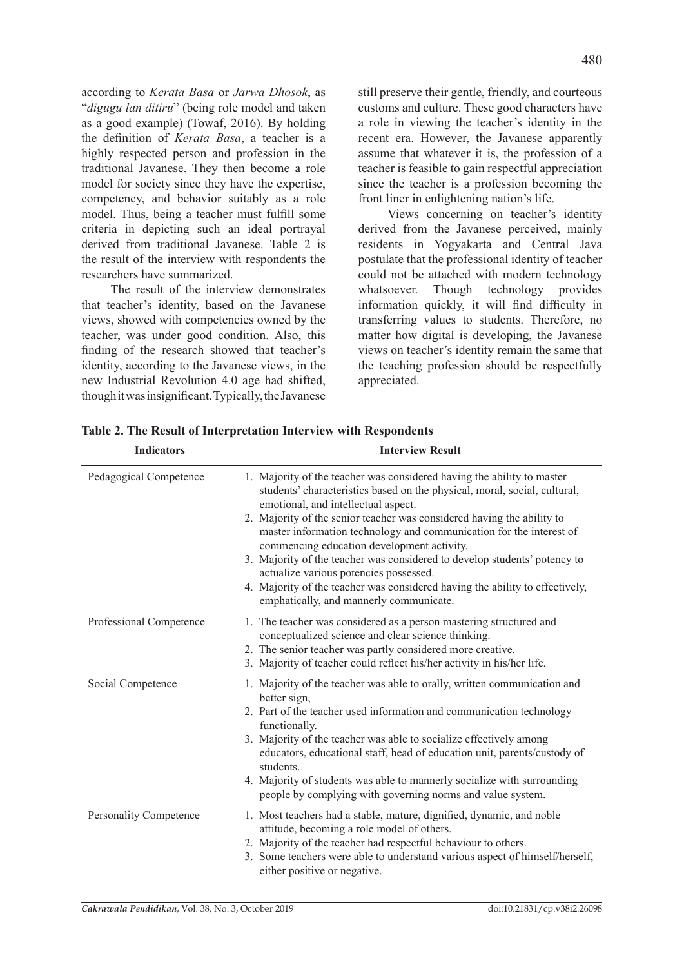according to *Kerata Basa* or *Jarwa Dhosok*, as "*digugu lan ditiru*" (being role model and taken as a good example) (Towaf, 2016). By holding the definition of *Kerata Basa*, a teacher is a highly respected person and profession in the traditional Javanese. They then become a role model for society since they have the expertise, competency, and behavior suitably as a role model. Thus, being a teacher must fulfill some criteria in depicting such an ideal portrayal derived from traditional Javanese. Table 2 is the result of the interview with respondents the researchers have summarized.

The result of the interview demonstrates that teacher's identity, based on the Javanese views, showed with competencies owned by the teacher, was under good condition. Also, this finding of the research showed that teacher's identity, according to the Javanese views, in the new Industrial Revolution 4.0 age had shifted, though it was insignificant. Typically, the Javanese still preserve their gentle, friendly, and courteous customs and culture. These good characters have a role in viewing the teacher's identity in the recent era. However, the Javanese apparently assume that whatever it is, the profession of a teacher is feasible to gain respectful appreciation since the teacher is a profession becoming the front liner in enlightening nation's life.

Views concerning on teacher's identity derived from the Javanese perceived, mainly residents in Yogyakarta and Central Java postulate that the professional identity of teacher could not be attached with modern technology whatsoever. Though technology provides information quickly, it will find difficulty in transferring values to students. Therefore, no matter how digital is developing, the Javanese views on teacher's identity remain the same that the teaching profession should be respectfully appreciated.

| <b>Indicators</b>             | <b>Interview Result</b>                                                                                                                                                                                                                                                                                                                                                                                                                                                                                                                                                                                                                     |  |
|-------------------------------|---------------------------------------------------------------------------------------------------------------------------------------------------------------------------------------------------------------------------------------------------------------------------------------------------------------------------------------------------------------------------------------------------------------------------------------------------------------------------------------------------------------------------------------------------------------------------------------------------------------------------------------------|--|
| Pedagogical Competence        | 1. Majority of the teacher was considered having the ability to master<br>students' characteristics based on the physical, moral, social, cultural,<br>emotional, and intellectual aspect.<br>2. Majority of the senior teacher was considered having the ability to<br>master information technology and communication for the interest of<br>commencing education development activity.<br>3. Majority of the teacher was considered to develop students' potency to<br>actualize various potencies possessed.<br>4. Majority of the teacher was considered having the ability to effectively,<br>emphatically, and mannerly communicate. |  |
| Professional Competence       | 1. The teacher was considered as a person mastering structured and<br>conceptualized science and clear science thinking.<br>2. The senior teacher was partly considered more creative.<br>3. Majority of teacher could reflect his/her activity in his/her life.                                                                                                                                                                                                                                                                                                                                                                            |  |
| Social Competence             | 1. Majority of the teacher was able to orally, written communication and<br>better sign,<br>2. Part of the teacher used information and communication technology<br>functionally.<br>3. Majority of the teacher was able to socialize effectively among<br>educators, educational staff, head of education unit, parents/custody of<br>students.<br>4. Majority of students was able to mannerly socialize with surrounding<br>people by complying with governing norms and value system.                                                                                                                                                   |  |
| <b>Personality Competence</b> | 1. Most teachers had a stable, mature, dignified, dynamic, and noble<br>attitude, becoming a role model of others.<br>2. Majority of the teacher had respectful behaviour to others.<br>3. Some teachers were able to understand various aspect of himself/herself,<br>either positive or negative.                                                                                                                                                                                                                                                                                                                                         |  |

**Table 2. The Result of Interpretation Interview with Respondents**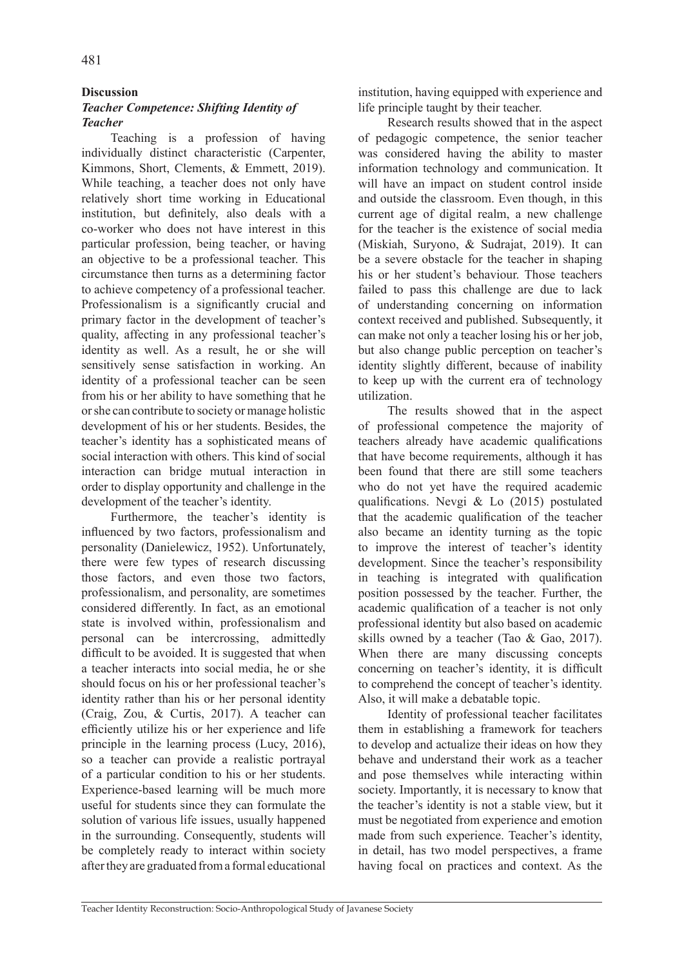## **Discussion**

# *Teacher Competence: Shifting Identity of Teacher*

Teaching is a profession of having individually distinct characteristic (Carpenter, Kimmons, Short, Clements, & Emmett, 2019). While teaching, a teacher does not only have relatively short time working in Educational institution, but definitely, also deals with a co-worker who does not have interest in this particular profession, being teacher, or having an objective to be a professional teacher. This circumstance then turns as a determining factor to achieve competency of a professional teacher. Professionalism is a significantly crucial and primary factor in the development of teacher's quality, affecting in any professional teacher's identity as well. As a result, he or she will sensitively sense satisfaction in working. An identity of a professional teacher can be seen from his or her ability to have something that he or she can contribute to society or manage holistic development of his or her students. Besides, the teacher's identity has a sophisticated means of social interaction with others. This kind of social interaction can bridge mutual interaction in order to display opportunity and challenge in the development of the teacher's identity.

Furthermore, the teacher's identity is influenced by two factors, professionalism and personality (Danielewicz, 1952). Unfortunately, there were few types of research discussing those factors, and even those two factors, professionalism, and personality, are sometimes considered differently. In fact, as an emotional state is involved within, professionalism and personal can be intercrossing, admittedly difficult to be avoided. It is suggested that when a teacher interacts into social media, he or she should focus on his or her professional teacher's identity rather than his or her personal identity (Craig, Zou, & Curtis, 2017). A teacher can efficiently utilize his or her experience and life principle in the learning process (Lucy, 2016), so a teacher can provide a realistic portrayal of a particular condition to his or her students. Experience-based learning will be much more useful for students since they can formulate the solution of various life issues, usually happened in the surrounding. Consequently, students will be completely ready to interact within society after they are graduated from a formal educational institution, having equipped with experience and life principle taught by their teacher.

Research results showed that in the aspect of pedagogic competence, the senior teacher was considered having the ability to master information technology and communication. It will have an impact on student control inside and outside the classroom. Even though, in this current age of digital realm, a new challenge for the teacher is the existence of social media (Miskiah, Suryono, & Sudrajat, 2019). It can be a severe obstacle for the teacher in shaping his or her student's behaviour. Those teachers failed to pass this challenge are due to lack of understanding concerning on information context received and published. Subsequently, it can make not only a teacher losing his or her job, but also change public perception on teacher's identity slightly different, because of inability to keep up with the current era of technology utilization.

The results showed that in the aspect of professional competence the majority of teachers already have academic qualifications that have become requirements, although it has been found that there are still some teachers who do not yet have the required academic qualifications. Nevgi & Lo (2015) postulated that the academic qualification of the teacher also became an identity turning as the topic to improve the interest of teacher's identity development. Since the teacher's responsibility in teaching is integrated with qualification position possessed by the teacher. Further, the academic qualification of a teacher is not only professional identity but also based on academic skills owned by a teacher (Tao & Gao, 2017). When there are many discussing concepts concerning on teacher's identity, it is difficult to comprehend the concept of teacher's identity. Also, it will make a debatable topic.

Identity of professional teacher facilitates them in establishing a framework for teachers to develop and actualize their ideas on how they behave and understand their work as a teacher and pose themselves while interacting within society. Importantly, it is necessary to know that the teacher's identity is not a stable view, but it must be negotiated from experience and emotion made from such experience. Teacher's identity, in detail, has two model perspectives, a frame having focal on practices and context. As the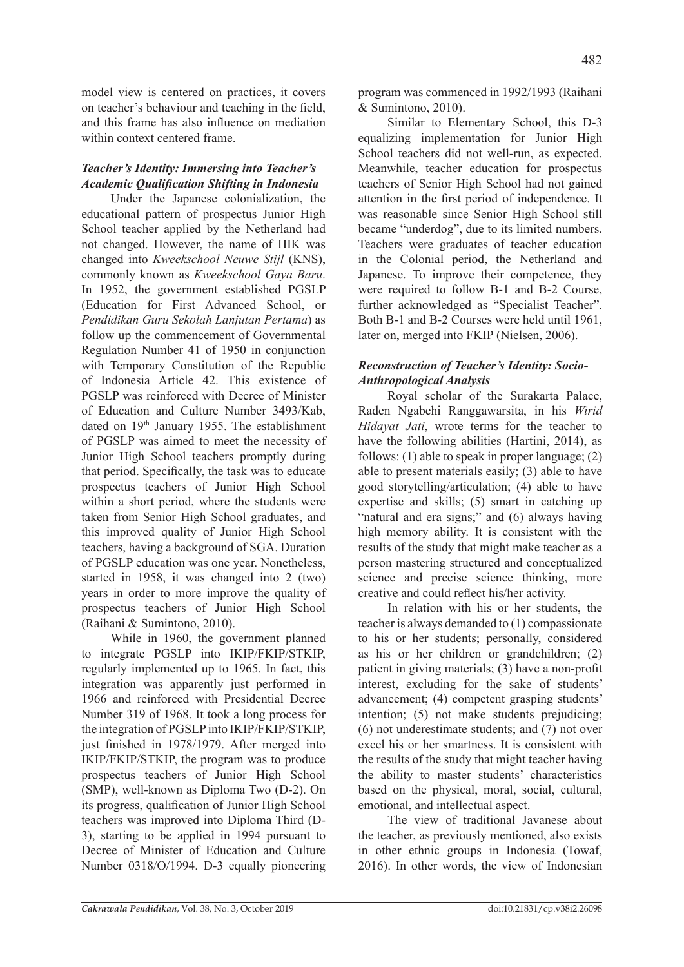model view is centered on practices, it covers on teacher's behaviour and teaching in the field, and this frame has also influence on mediation within context centered frame.

# *Teacher's Identity: Immersing into Teacher's Academic Qualification Shifting in Indonesia*

Under the Japanese colonialization, the educational pattern of prospectus Junior High School teacher applied by the Netherland had not changed. However, the name of HIK was changed into *Kweekschool Neuwe Stijl* (KNS), commonly known as *Kweekschool Gaya Baru*. In 1952, the government established PGSLP (Education for First Advanced School, or *Pendidikan Guru Sekolah Lanjutan Pertama*) as follow up the commencement of Governmental Regulation Number 41 of 1950 in conjunction with Temporary Constitution of the Republic of Indonesia Article 42. This existence of PGSLP was reinforced with Decree of Minister of Education and Culture Number 3493/Kab, dated on 19<sup>th</sup> January 1955. The establishment of PGSLP was aimed to meet the necessity of Junior High School teachers promptly during that period. Specifically, the task was to educate prospectus teachers of Junior High School within a short period, where the students were taken from Senior High School graduates, and this improved quality of Junior High School teachers, having a background of SGA. Duration of PGSLP education was one year. Nonetheless, started in 1958, it was changed into 2 (two) years in order to more improve the quality of prospectus teachers of Junior High School (Raihani & Sumintono, 2010).

While in 1960, the government planned to integrate PGSLP into IKIP/FKIP/STKIP, regularly implemented up to 1965. In fact, this integration was apparently just performed in 1966 and reinforced with Presidential Decree Number 319 of 1968. It took a long process for the integration of PGSLP into IKIP/FKIP/STKIP, just finished in 1978/1979. After merged into IKIP/FKIP/STKIP, the program was to produce prospectus teachers of Junior High School (SMP), well-known as Diploma Two (D-2). On its progress, qualification of Junior High School teachers was improved into Diploma Third (D-3), starting to be applied in 1994 pursuant to Decree of Minister of Education and Culture Number 0318/O/1994. D-3 equally pioneering program was commenced in 1992/1993 (Raihani & Sumintono, 2010).

Similar to Elementary School, this D-3 equalizing implementation for Junior High School teachers did not well-run, as expected. Meanwhile, teacher education for prospectus teachers of Senior High School had not gained attention in the first period of independence. It was reasonable since Senior High School still became "underdog", due to its limited numbers. Teachers were graduates of teacher education in the Colonial period, the Netherland and Japanese. To improve their competence, they were required to follow B-1 and B-2 Course, further acknowledged as "Specialist Teacher". Both B-1 and B-2 Courses were held until 1961, later on, merged into FKIP (Nielsen, 2006).

# *Reconstruction of Teacher's Identity: Socio-Anthropological Analysis*

Royal scholar of the Surakarta Palace, Raden Ngabehi Ranggawarsita, in his *Wirid Hidayat Jati*, wrote terms for the teacher to have the following abilities (Hartini, 2014), as follows: (1) able to speak in proper language; (2) able to present materials easily; (3) able to have good storytelling/articulation; (4) able to have expertise and skills; (5) smart in catching up "natural and era signs;" and (6) always having high memory ability. It is consistent with the results of the study that might make teacher as a person mastering structured and conceptualized science and precise science thinking, more creative and could reflect his/her activity.

In relation with his or her students, the teacher is always demanded to (1) compassionate to his or her students; personally, considered as his or her children or grandchildren; (2) patient in giving materials; (3) have a non-profit interest, excluding for the sake of students' advancement; (4) competent grasping students' intention; (5) not make students prejudicing; (6) not underestimate students; and (7) not over excel his or her smartness. It is consistent with the results of the study that might teacher having the ability to master students' characteristics based on the physical, moral, social, cultural, emotional, and intellectual aspect.

The view of traditional Javanese about the teacher, as previously mentioned, also exists in other ethnic groups in Indonesia (Towaf, 2016). In other words, the view of Indonesian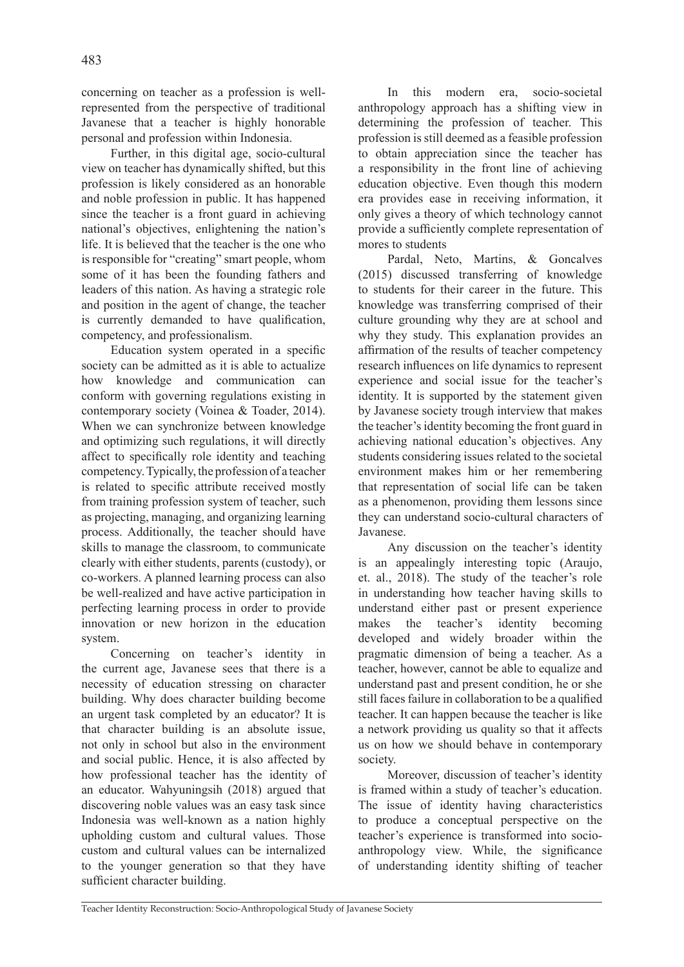concerning on teacher as a profession is wellrepresented from the perspective of traditional Javanese that a teacher is highly honorable personal and profession within Indonesia.

Further, in this digital age, socio-cultural view on teacher has dynamically shifted, but this profession is likely considered as an honorable and noble profession in public. It has happened since the teacher is a front guard in achieving national's objectives, enlightening the nation's life. It is believed that the teacher is the one who is responsible for "creating" smart people, whom some of it has been the founding fathers and leaders of this nation. As having a strategic role and position in the agent of change, the teacher is currently demanded to have qualification, competency, and professionalism.

Education system operated in a specific society can be admitted as it is able to actualize how knowledge and communication can conform with governing regulations existing in contemporary society (Voinea & Toader, 2014). When we can synchronize between knowledge and optimizing such regulations, it will directly affect to specifically role identity and teaching competency. Typically, the profession of a teacher is related to specific attribute received mostly from training profession system of teacher, such as projecting, managing, and organizing learning process. Additionally, the teacher should have skills to manage the classroom, to communicate clearly with either students, parents (custody), or co-workers. A planned learning process can also be well-realized and have active participation in perfecting learning process in order to provide innovation or new horizon in the education system.

Concerning on teacher's identity in the current age, Javanese sees that there is a necessity of education stressing on character building. Why does character building become an urgent task completed by an educator? It is that character building is an absolute issue, not only in school but also in the environment and social public. Hence, it is also affected by how professional teacher has the identity of an educator. Wahyuningsih (2018) argued that discovering noble values was an easy task since Indonesia was well-known as a nation highly upholding custom and cultural values. Those custom and cultural values can be internalized to the younger generation so that they have sufficient character building.

In this modern era, socio-societal anthropology approach has a shifting view in determining the profession of teacher. This profession is still deemed as a feasible profession to obtain appreciation since the teacher has a responsibility in the front line of achieving education objective. Even though this modern era provides ease in receiving information, it only gives a theory of which technology cannot provide a sufficiently complete representation of mores to students

Pardal, Neto, Martins, & Goncalves (2015) discussed transferring of knowledge to students for their career in the future. This knowledge was transferring comprised of their culture grounding why they are at school and why they study. This explanation provides an affirmation of the results of teacher competency research influences on life dynamics to represent experience and social issue for the teacher's identity. It is supported by the statement given by Javanese society trough interview that makes the teacher's identity becoming the front guard in achieving national education's objectives. Any students considering issues related to the societal environment makes him or her remembering that representation of social life can be taken as a phenomenon, providing them lessons since they can understand socio-cultural characters of Javanese.

Any discussion on the teacher's identity is an appealingly interesting topic (Araujo, et. al., 2018). The study of the teacher's role in understanding how teacher having skills to understand either past or present experience makes the teacher's identity becoming developed and widely broader within the pragmatic dimension of being a teacher. As a teacher, however, cannot be able to equalize and understand past and present condition, he or she still faces failure in collaboration to be a qualified teacher. It can happen because the teacher is like a network providing us quality so that it affects us on how we should behave in contemporary society.

Moreover, discussion of teacher's identity is framed within a study of teacher's education. The issue of identity having characteristics to produce a conceptual perspective on the teacher's experience is transformed into socioanthropology view. While, the significance of understanding identity shifting of teacher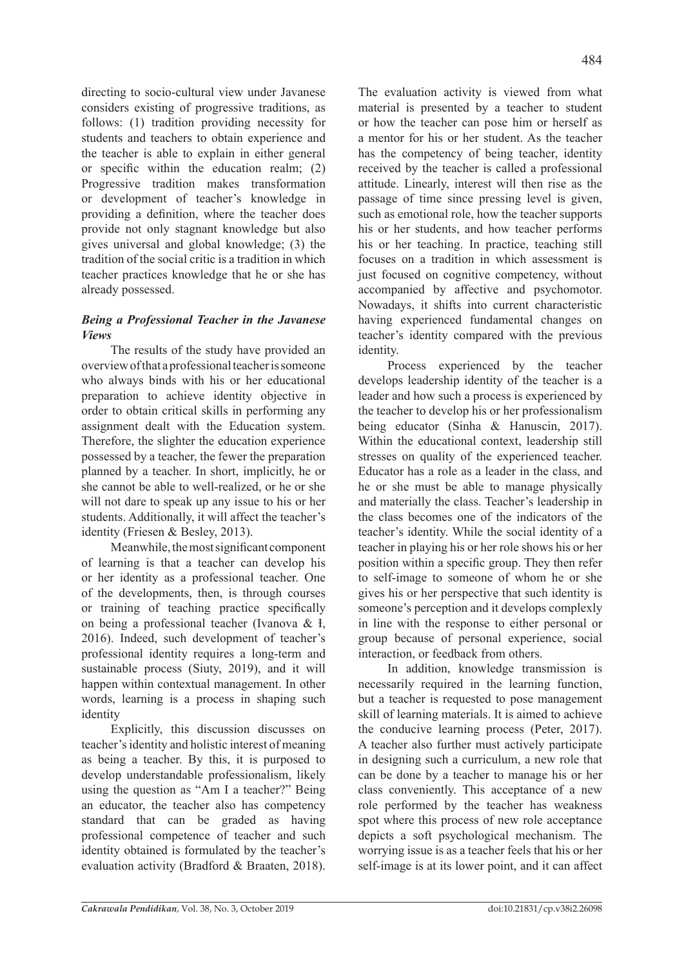directing to socio-cultural view under Javanese considers existing of progressive traditions, as follows: (1) tradition providing necessity for students and teachers to obtain experience and the teacher is able to explain in either general or specific within the education realm; (2) Progressive tradition makes transformation or development of teacher's knowledge in providing a definition, where the teacher does provide not only stagnant knowledge but also gives universal and global knowledge; (3) the tradition of the social critic is a tradition in which teacher practices knowledge that he or she has already possessed.

# *Being a Professional Teacher in the Javanese Views*

The results of the study have provided an overview of that a professional teacher is someone who always binds with his or her educational preparation to achieve identity objective in order to obtain critical skills in performing any assignment dealt with the Education system. Therefore, the slighter the education experience possessed by a teacher, the fewer the preparation planned by a teacher. In short, implicitly, he or she cannot be able to well-realized, or he or she will not dare to speak up any issue to his or her students. Additionally, it will affect the teacher's identity (Friesen & Besley, 2013).

Meanwhile, the most significant component of learning is that a teacher can develop his or her identity as a professional teacher. One of the developments, then, is through courses or training of teaching practice specifically on being a professional teacher (Ivanova & Ɨ, 2016). Indeed, such development of teacher's professional identity requires a long-term and sustainable process (Siuty, 2019), and it will happen within contextual management. In other words, learning is a process in shaping such identity

Explicitly, this discussion discusses on teacher's identity and holistic interest of meaning as being a teacher. By this, it is purposed to develop understandable professionalism, likely using the question as "Am I a teacher?" Being an educator, the teacher also has competency standard that can be graded as having professional competence of teacher and such identity obtained is formulated by the teacher's evaluation activity (Bradford & Braaten, 2018).

The evaluation activity is viewed from what material is presented by a teacher to student or how the teacher can pose him or herself as a mentor for his or her student. As the teacher has the competency of being teacher, identity received by the teacher is called a professional attitude. Linearly, interest will then rise as the passage of time since pressing level is given, such as emotional role, how the teacher supports his or her students, and how teacher performs his or her teaching. In practice, teaching still focuses on a tradition in which assessment is just focused on cognitive competency, without accompanied by affective and psychomotor. Nowadays, it shifts into current characteristic having experienced fundamental changes on teacher's identity compared with the previous identity.

Process experienced by the teacher develops leadership identity of the teacher is a leader and how such a process is experienced by the teacher to develop his or her professionalism being educator (Sinha & Hanuscin, 2017). Within the educational context, leadership still stresses on quality of the experienced teacher. Educator has a role as a leader in the class, and he or she must be able to manage physically and materially the class. Teacher's leadership in the class becomes one of the indicators of the teacher's identity. While the social identity of a teacher in playing his or her role shows his or her position within a specific group. They then refer to self-image to someone of whom he or she gives his or her perspective that such identity is someone's perception and it develops complexly in line with the response to either personal or group because of personal experience, social interaction, or feedback from others.

In addition, knowledge transmission is necessarily required in the learning function, but a teacher is requested to pose management skill of learning materials. It is aimed to achieve the conducive learning process (Peter, 2017). A teacher also further must actively participate in designing such a curriculum, a new role that can be done by a teacher to manage his or her class conveniently. This acceptance of a new role performed by the teacher has weakness spot where this process of new role acceptance depicts a soft psychological mechanism. The worrying issue is as a teacher feels that his or her self-image is at its lower point, and it can affect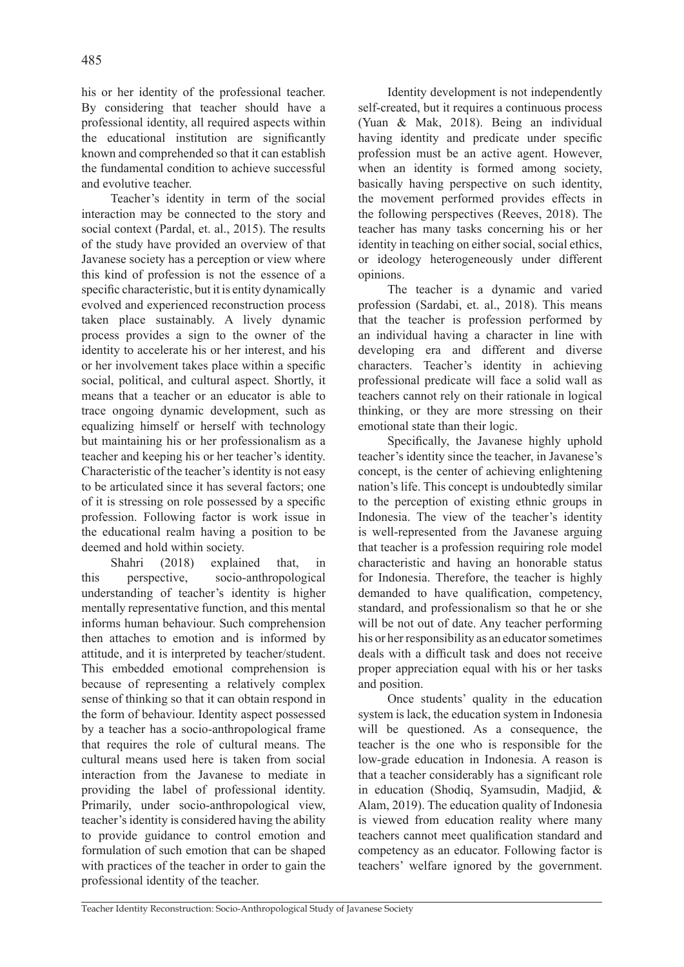his or her identity of the professional teacher. By considering that teacher should have a professional identity, all required aspects within the educational institution are significantly known and comprehended so that it can establish the fundamental condition to achieve successful and evolutive teacher.

Teacher's identity in term of the social interaction may be connected to the story and social context (Pardal, et. al., 2015). The results of the study have provided an overview of that Javanese society has a perception or view where this kind of profession is not the essence of a specific characteristic, but it is entity dynamically evolved and experienced reconstruction process taken place sustainably. A lively dynamic process provides a sign to the owner of the identity to accelerate his or her interest, and his or her involvement takes place within a specific social, political, and cultural aspect. Shortly, it means that a teacher or an educator is able to trace ongoing dynamic development, such as equalizing himself or herself with technology but maintaining his or her professionalism as a teacher and keeping his or her teacher's identity. Characteristic of the teacher's identity is not easy to be articulated since it has several factors; one of it is stressing on role possessed by a specific profession. Following factor is work issue in the educational realm having a position to be deemed and hold within society.

Shahri (2018) explained that, in this perspective, socio-anthropological understanding of teacher's identity is higher mentally representative function, and this mental informs human behaviour. Such comprehension then attaches to emotion and is informed by attitude, and it is interpreted by teacher/student. This embedded emotional comprehension is because of representing a relatively complex sense of thinking so that it can obtain respond in the form of behaviour. Identity aspect possessed by a teacher has a socio-anthropological frame that requires the role of cultural means. The cultural means used here is taken from social interaction from the Javanese to mediate in providing the label of professional identity. Primarily, under socio-anthropological view, teacher's identity is considered having the ability to provide guidance to control emotion and formulation of such emotion that can be shaped with practices of the teacher in order to gain the professional identity of the teacher.

Identity development is not independently self-created, but it requires a continuous process (Yuan & Mak, 2018). Being an individual having identity and predicate under specific profession must be an active agent. However, when an identity is formed among society, basically having perspective on such identity, the movement performed provides effects in the following perspectives (Reeves, 2018). The teacher has many tasks concerning his or her identity in teaching on either social, social ethics, or ideology heterogeneously under different opinions.

The teacher is a dynamic and varied profession (Sardabi, et. al., 2018). This means that the teacher is profession performed by an individual having a character in line with developing era and different and diverse characters. Teacher's identity in achieving professional predicate will face a solid wall as teachers cannot rely on their rationale in logical thinking, or they are more stressing on their emotional state than their logic.

Specifically, the Javanese highly uphold teacher's identity since the teacher, in Javanese's concept, is the center of achieving enlightening nation's life. This concept is undoubtedly similar to the perception of existing ethnic groups in Indonesia. The view of the teacher's identity is well-represented from the Javanese arguing that teacher is a profession requiring role model characteristic and having an honorable status for Indonesia. Therefore, the teacher is highly demanded to have qualification, competency, standard, and professionalism so that he or she will be not out of date. Any teacher performing his or her responsibility as an educator sometimes deals with a difficult task and does not receive proper appreciation equal with his or her tasks and position.

Once students' quality in the education system is lack, the education system in Indonesia will be questioned. As a consequence, the teacher is the one who is responsible for the low-grade education in Indonesia. A reason is that a teacher considerably has a significant role in education (Shodiq, Syamsudin, Madjid, & Alam, 2019). The education quality of Indonesia is viewed from education reality where many teachers cannot meet qualification standard and competency as an educator. Following factor is teachers' welfare ignored by the government.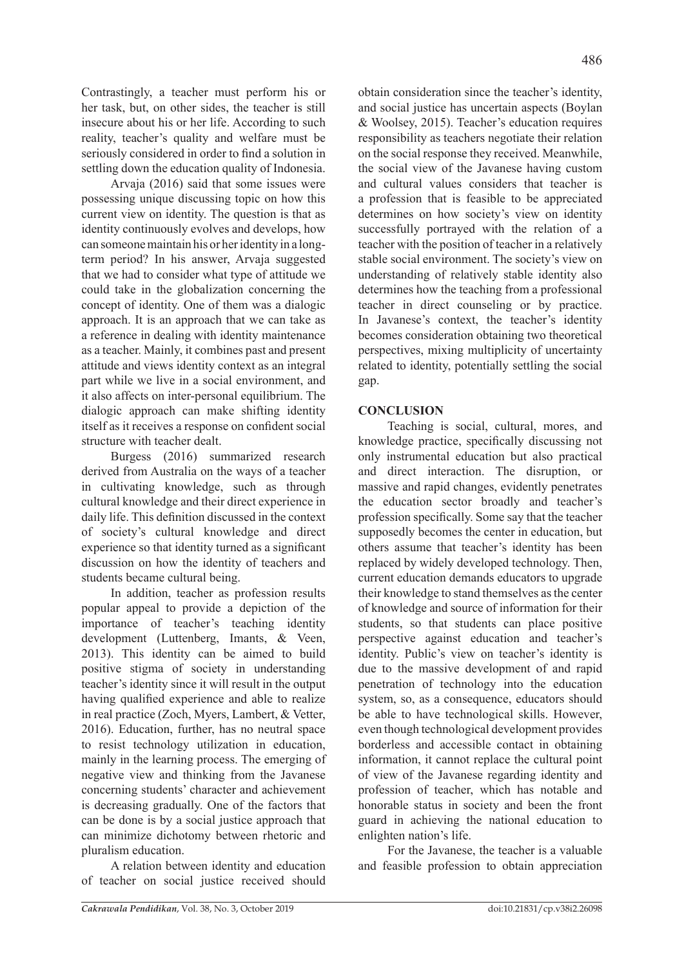Contrastingly, a teacher must perform his or her task, but, on other sides, the teacher is still insecure about his or her life. According to such reality, teacher's quality and welfare must be seriously considered in order to find a solution in settling down the education quality of Indonesia.

Arvaja (2016) said that some issues were possessing unique discussing topic on how this current view on identity. The question is that as identity continuously evolves and develops, how can someone maintain his or her identity in a longterm period? In his answer, Arvaja suggested that we had to consider what type of attitude we could take in the globalization concerning the concept of identity. One of them was a dialogic approach. It is an approach that we can take as a reference in dealing with identity maintenance as a teacher. Mainly, it combines past and present attitude and views identity context as an integral part while we live in a social environment, and it also affects on inter-personal equilibrium. The dialogic approach can make shifting identity itself as it receives a response on confident social structure with teacher dealt.

Burgess (2016) summarized research derived from Australia on the ways of a teacher in cultivating knowledge, such as through cultural knowledge and their direct experience in daily life. This definition discussed in the context of society's cultural knowledge and direct experience so that identity turned as a significant discussion on how the identity of teachers and students became cultural being.

In addition, teacher as profession results popular appeal to provide a depiction of the importance of teacher's teaching identity development (Luttenberg, Imants, & Veen, 2013). This identity can be aimed to build positive stigma of society in understanding teacher's identity since it will result in the output having qualified experience and able to realize in real practice (Zoch, Myers, Lambert, & Vetter, 2016). Education, further, has no neutral space to resist technology utilization in education, mainly in the learning process. The emerging of negative view and thinking from the Javanese concerning students' character and achievement is decreasing gradually. One of the factors that can be done is by a social justice approach that can minimize dichotomy between rhetoric and pluralism education.

A relation between identity and education of teacher on social justice received should obtain consideration since the teacher's identity, and social justice has uncertain aspects (Boylan & Woolsey, 2015). Teacher's education requires responsibility as teachers negotiate their relation on the social response they received. Meanwhile, the social view of the Javanese having custom and cultural values considers that teacher is a profession that is feasible to be appreciated determines on how society's view on identity successfully portrayed with the relation of a teacher with the position of teacher in a relatively stable social environment. The society's view on understanding of relatively stable identity also determines how the teaching from a professional teacher in direct counseling or by practice. In Javanese's context, the teacher's identity becomes consideration obtaining two theoretical perspectives, mixing multiplicity of uncertainty related to identity, potentially settling the social gap.

# **CONCLUSION**

Teaching is social, cultural, mores, and knowledge practice, specifically discussing not only instrumental education but also practical and direct interaction. The disruption, or massive and rapid changes, evidently penetrates the education sector broadly and teacher's profession specifically. Some say that the teacher supposedly becomes the center in education, but others assume that teacher's identity has been replaced by widely developed technology. Then, current education demands educators to upgrade their knowledge to stand themselves as the center of knowledge and source of information for their students, so that students can place positive perspective against education and teacher's identity. Public's view on teacher's identity is due to the massive development of and rapid penetration of technology into the education system, so, as a consequence, educators should be able to have technological skills. However, even though technological development provides borderless and accessible contact in obtaining information, it cannot replace the cultural point of view of the Javanese regarding identity and profession of teacher, which has notable and honorable status in society and been the front guard in achieving the national education to enlighten nation's life.

For the Javanese, the teacher is a valuable and feasible profession to obtain appreciation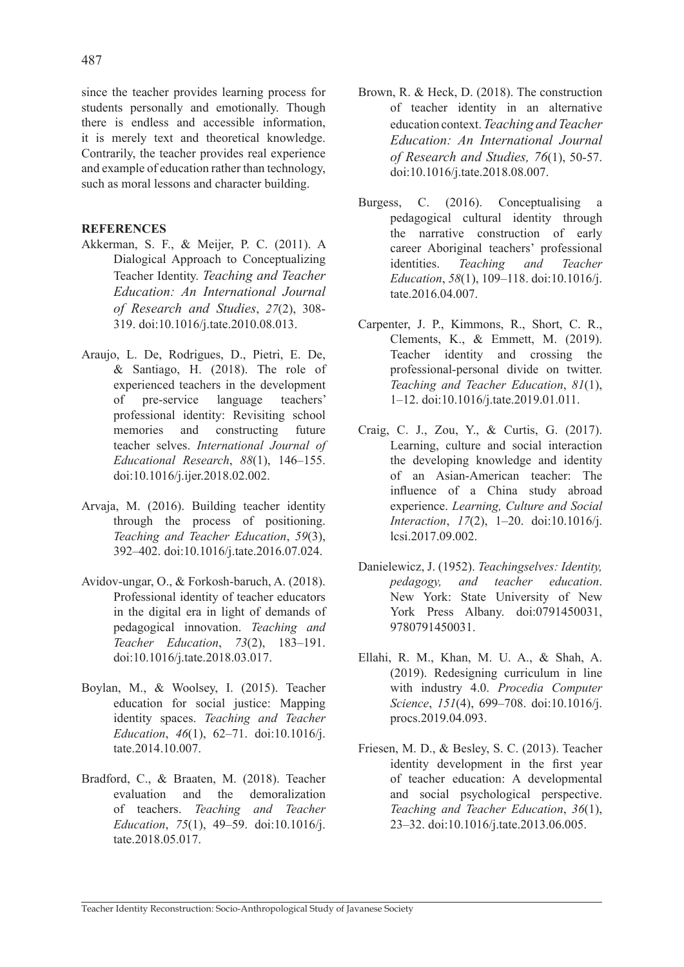since the teacher provides learning process for students personally and emotionally. Though there is endless and accessible information, it is merely text and theoretical knowledge. Contrarily, the teacher provides real experience and example of education rather than technology, such as moral lessons and character building.

### **REFERENCES**

- Akkerman, S. F., & Meijer, P. C. (2011). A Dialogical Approach to Conceptualizing Teacher Identity. *Teaching and Teacher Education: An International Journal of Research and Studies*, *27*(2), 308- 319. doi:10.1016/j.tate.2010.08.013.
- Araujo, L. De, Rodrigues, D., Pietri, E. De, & Santiago, H. (2018). The role of experienced teachers in the development of pre-service language teachers' professional identity: Revisiting school memories and constructing future teacher selves. *International Journal of Educational Research*, *88*(1), 146–155. doi:10.1016/j.ijer.2018.02.002.
- Arvaja, M. (2016). Building teacher identity through the process of positioning. *Teaching and Teacher Education*, *59*(3), 392–402. doi:10.1016/j.tate.2016.07.024.
- Avidov-ungar, O., & Forkosh-baruch, A. (2018). Professional identity of teacher educators in the digital era in light of demands of pedagogical innovation. *Teaching and Teacher Education*, *73*(2), 183–191. doi:10.1016/j.tate.2018.03.017.
- Boylan, M., & Woolsey, I. (2015). Teacher education for social justice: Mapping identity spaces. *Teaching and Teacher Education*, *46*(1), 62–71. doi:10.1016/j. tate.2014.10.007.
- Bradford, C., & Braaten, M. (2018). Teacher evaluation and the demoralization of teachers. *Teaching and Teacher Education*, *75*(1), 49–59. doi:10.1016/j. tate.2018.05.017
- Brown, R. & Heck, D. (2018). The construction of teacher identity in an alternative education context.*Teaching and Teacher Education: An International Journal of Research and Studies, 76*(1), 50-57. doi:10.1016/j.tate.2018.08.007.
- Burgess, C. (2016). Conceptualising a pedagogical cultural identity through the narrative construction of early career Aboriginal teachers' professional identities. *Teaching and Teacher Education*, *58*(1), 109–118. doi:10.1016/j. tate.2016.04.007.
- Carpenter, J. P., Kimmons, R., Short, C. R., Clements, K., & Emmett, M. (2019). Teacher identity and crossing the professional-personal divide on twitter. *Teaching and Teacher Education*, *81*(1), 1–12. doi:10.1016/j.tate.2019.01.011.
- Craig, C. J., Zou, Y., & Curtis, G. (2017). Learning, culture and social interaction the developing knowledge and identity of an Asian-American teacher: The influence of a China study abroad experience. *Learning, Culture and Social Interaction*, *17*(2), 1–20. doi:10.1016/j. lcsi.2017.09.002.
- Danielewicz, J. (1952). *Teachingselves: Identity, pedagogy, and teacher education*. New York: State University of New York Press Albany. doi:0791450031, 9780791450031.
- Ellahi, R. M., Khan, M. U. A., & Shah, A. (2019). Redesigning curriculum in line with industry 4.0. *Procedia Computer Science*, *151*(4), 699–708. doi:10.1016/j. procs.2019.04.093.
- Friesen, M. D., & Besley, S. C. (2013). Teacher identity development in the first year of teacher education: A developmental and social psychological perspective. *Teaching and Teacher Education*, *36*(1), 23–32. doi:10.1016/j.tate.2013.06.005.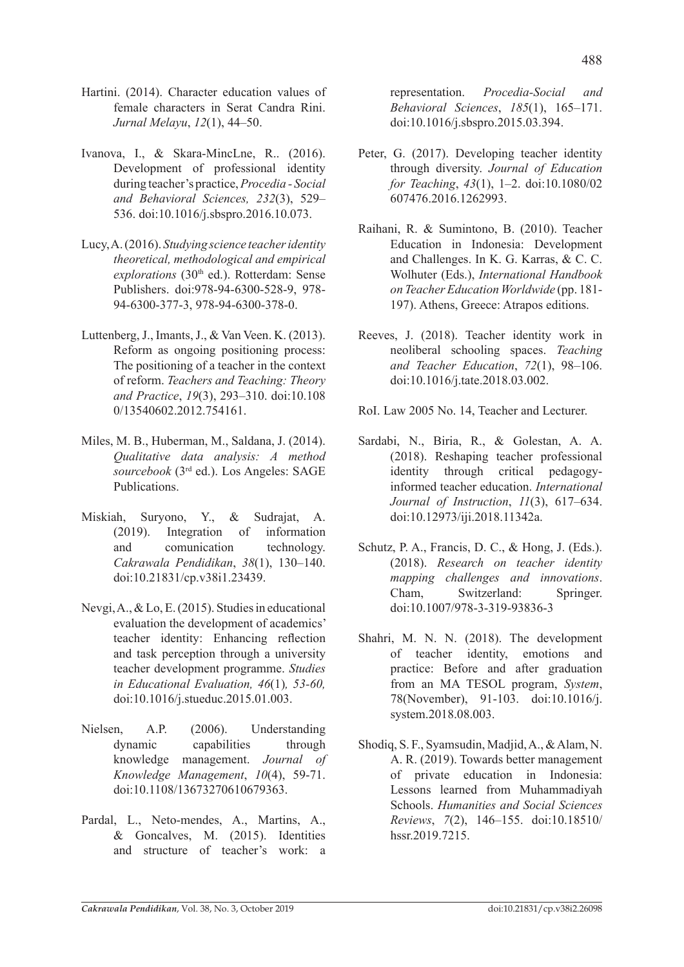- Hartini. (2014). Character education values of female characters in Serat Candra Rini. *Jurnal Melayu*, *12*(1), 44–50.
- Ivanova, I., & Skara-MincLne, R.. (2016). Development of professional identity during teacher's practice, *Procedia - Social and Behavioral Sciences, 232*(3), 529– 536. doi:10.1016/j.sbspro.2016.10.073.
- Lucy, A. (2016). *Studying science teacher identity theoretical, methodological and empirical explorations* (30<sup>th</sup> ed.). Rotterdam: Sense Publishers. doi:978-94-6300-528-9, 978- 94-6300-377-3, 978-94-6300-378-0.
- Luttenberg, J., Imants, J., & Van Veen. K. (2013). Reform as ongoing positioning process: The positioning of a teacher in the context of reform. *Teachers and Teaching: Theory and Practice*, *19*(3), 293–310. doi:10.108 0/13540602.2012.754161.
- Miles, M. B., Huberman, M., Saldana, J. (2014). *Qualitative data analysis: A method sourcebook* (3rd ed.). Los Angeles: SAGE Publications.
- Miskiah, Suryono, Y., & Sudrajat, A. (2019). Integration of information and comunication technology. *Cakrawala Pendidikan*, *38*(1), 130–140. doi:10.21831/cp.v38i1.23439.
- Nevgi, A., & Lo, E. (2015). Studies in educational evaluation the development of academics' teacher identity: Enhancing reflection and task perception through a university teacher development programme. *Studies in Educational Evaluation, 46*(1)*, 53-60,*  doi:10.1016/j.stueduc.2015.01.003.
- Nielsen, A.P. (2006). Understanding dynamic capabilities through knowledge management. *Journal of Knowledge Management*, *10*(4), 59-71. doi:10.1108/13673270610679363.
- Pardal, L., Neto-mendes, A., Martins, A., & Goncalves, M. (2015). Identities and structure of teacher's work: a

representation. *Procedia-Social and Behavioral Sciences*, *185*(1), 165–171. doi:10.1016/j.sbspro.2015.03.394.

- Peter, G. (2017). Developing teacher identity through diversity. *Journal of Education for Teaching*, *43*(1), 1–2. doi:10.1080/02 607476.2016.1262993.
- Raihani, R. & Sumintono, B. (2010). Teacher Education in Indonesia: Development and Challenges. In K. G. Karras, & C. C. Wolhuter (Eds.), *International Handbook on Teacher Education Worldwide* (pp. 181- 197). Athens, Greece: Atrapos editions.
- Reeves, J. (2018). Teacher identity work in neoliberal schooling spaces. *Teaching and Teacher Education*, *72*(1), 98–106. doi:10.1016/j.tate.2018.03.002.
- RoI. Law 2005 No. 14, Teacher and Lecturer.
- Sardabi, N., Biria, R., & Golestan, A. A. (2018). Reshaping teacher professional identity through critical pedagogyinformed teacher education. *International Journal of Instruction*, *11*(3), 617–634. doi:10.12973/iji.2018.11342a.
- Schutz, P. A., Francis, D. C., & Hong, J. (Eds.). (2018). *Research on teacher identity mapping challenges and innovations*. Cham, Switzerland: Springer. doi:10.1007/978-3-319-93836-3
- Shahri, M. N. N. (2018). The development of teacher identity, emotions and practice: Before and after graduation from an MA TESOL program, *System*, 78(November), 91-103. doi:10.1016/j. system.2018.08.003.
- Shodiq, S. F., Syamsudin, Madjid, A., & Alam, N. A. R. (2019). Towards better management of private education in Indonesia: Lessons learned from Muhammadiyah Schools. *Humanities and Social Sciences Reviews*, *7*(2), 146–155. doi:10.18510/ hssr.2019.7215.